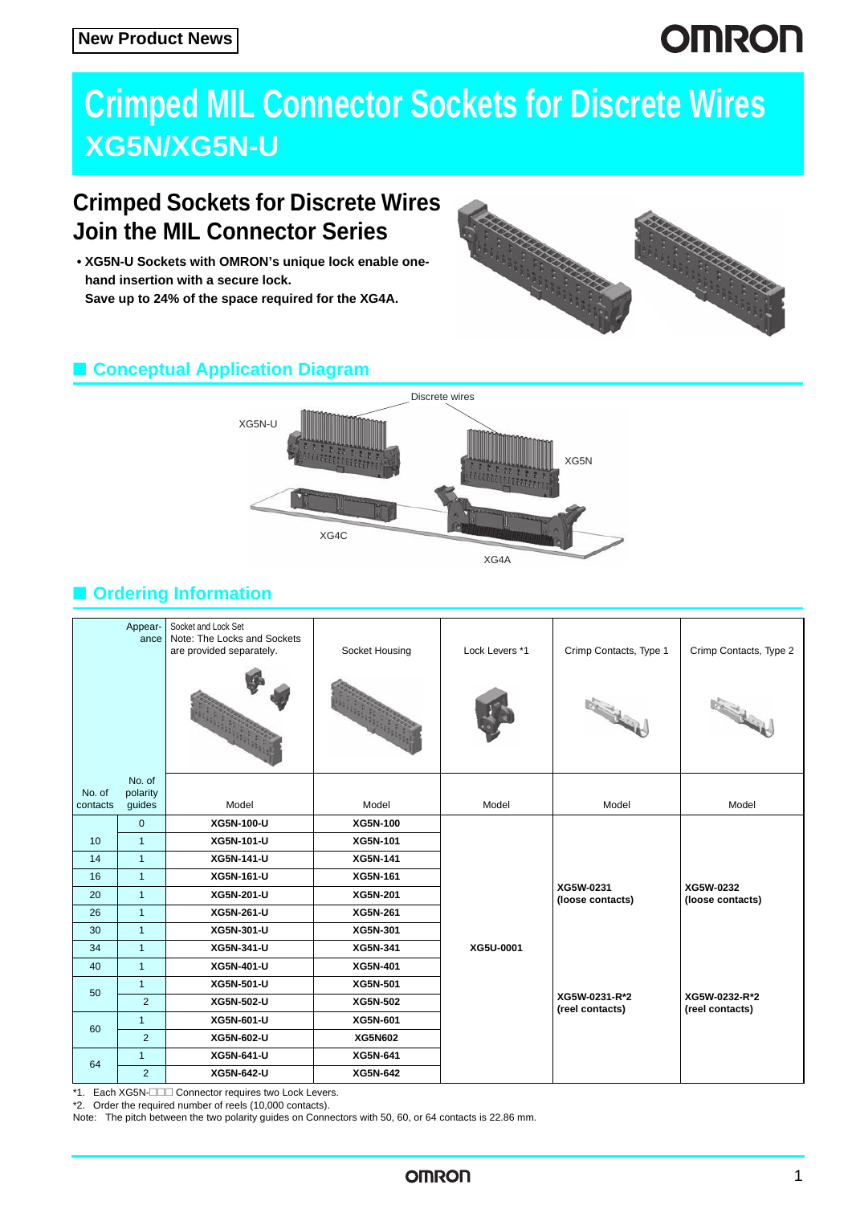# **OMRON**

# **Crimped MIL Connector Sockets for Discrete Wires XG5N/XG5N-U**

## **Crimped Sockets for Discrete Wires Join the MIL Connector Series**

**• XG5N-U Sockets with OMRON's unique lock enable onehand insertion with a secure lock. Save up to 24% of the space required for the XG4A.**



## ■ **Conceptual Application Diagram**



## ■ **Ordering Information**

|                    | Appear-<br>ance              | Socket and Lock Set<br>Note: The Locks and Sockets<br>are provided separately. | Socket Housing | Lock Levers *1 | Crimp Contacts, Type 1<br><b>Reader</b> | Crimp Contacts, Type 2<br><b>Charles Contractor</b> |
|--------------------|------------------------------|--------------------------------------------------------------------------------|----------------|----------------|-----------------------------------------|-----------------------------------------------------|
| No. of<br>contacts | No. of<br>polarity<br>guides | Model                                                                          | Model          | Model          | Model                                   | Model                                               |
|                    | $\mathbf 0$                  | XG5N-100-U                                                                     | XG5N-100       |                |                                         |                                                     |
| 10                 | $\overline{1}$               | XG5N-101-U                                                                     | XG5N-101       |                |                                         |                                                     |
| 14                 | $\mathbf{1}$                 | XG5N-141-U                                                                     | XG5N-141       |                |                                         |                                                     |
| 16                 | $\overline{1}$               | XG5N-161-U                                                                     | XG5N-161       |                |                                         |                                                     |
| 20                 | $\mathbf{1}$                 | XG5N-201-U                                                                     | XG5N-201       |                | XG5W-0231<br>(loose contacts)           | XG5W-0232<br>(loose contacts)                       |
| 26                 | $\mathbf{1}$                 | XG5N-261-U                                                                     | XG5N-261       |                |                                         |                                                     |
| 30                 | $\mathbf{1}$                 | XG5N-301-U                                                                     | XG5N-301       |                |                                         |                                                     |
| 34                 | $\overline{1}$               | XG5N-341-U                                                                     | XG5N-341       | XG5U-0001      |                                         |                                                     |
| 40                 | $\overline{1}$               | XG5N-401-U                                                                     | XG5N-401       |                |                                         |                                                     |
| 50                 | $\mathbf{1}$                 | XG5N-501-U                                                                     | XG5N-501       |                |                                         |                                                     |
|                    | $\overline{2}$               | XG5N-502-U                                                                     | XG5N-502       |                | XG5W-0231-R*2<br>(reel contacts)        | XG5W-0232-R*2<br>(reel contacts)                    |
| 60                 | $\mathbf{1}$                 | XG5N-601-U                                                                     | XG5N-601       |                |                                         |                                                     |
|                    | $\overline{2}$               | XG5N-602-U                                                                     | XG5N602        |                |                                         |                                                     |
| 64                 | $\mathbf{1}$                 | XG5N-641-U                                                                     | XG5N-641       |                |                                         |                                                     |
|                    | 2                            | XG5N-642-U                                                                     | XG5N-642       |                |                                         |                                                     |

\*1. Each XG5N- $\Box$  Connector requires two Lock Levers.

\*2. Order the required number of reels (10,000 contacts).

Note: The pitch between the two polarity guides on Connectors with 50, 60, or 64 contacts is 22.86 mm.

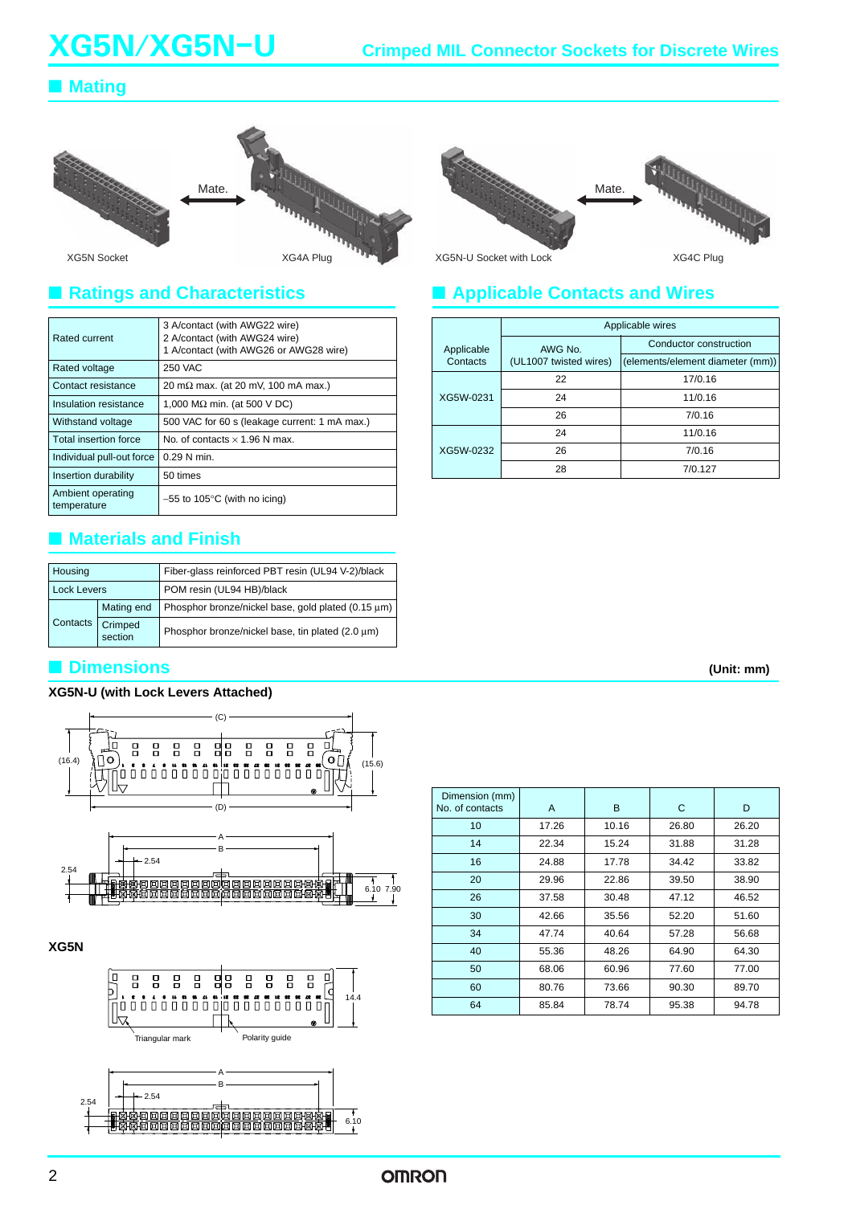### ■ **Mating**





### ■ **Ratings and Characteristics**

| Rated current                    | 3 A/contact (with AWG22 wire)<br>2 A/contact (with AWG24 wire)<br>1 A/contact (with AWG26 or AWG28 wire) |  |  |
|----------------------------------|----------------------------------------------------------------------------------------------------------|--|--|
| Rated voltage                    | 250 VAC                                                                                                  |  |  |
| Contact resistance               | 20 m $\Omega$ max. (at 20 mV, 100 mA max.)                                                               |  |  |
| Insulation resistance            | 1,000 M $\Omega$ min. (at 500 V DC)                                                                      |  |  |
| Withstand voltage                | 500 VAC for 60 s (leakage current: 1 mA max.)                                                            |  |  |
| Total insertion force            | No. of contacts $\times$ 1.96 N max.                                                                     |  |  |
| Individual pull-out force        | $0.29$ N min.                                                                                            |  |  |
| Insertion durability             | 50 times                                                                                                 |  |  |
| Ambient operating<br>temperature | $-55$ to 105 $\degree$ C (with no icing)                                                                 |  |  |

### ■ **Materials and Finish**

| Housing            |          |                    | Fiber-glass reinforced PBT resin (UL94 V-2)/black  |  |
|--------------------|----------|--------------------|----------------------------------------------------|--|
| <b>Lock Levers</b> |          |                    | POM resin (UL94 HB)/black                          |  |
|                    |          | Mating end         | Phosphor bronze/nickel base, gold plated (0.15 µm) |  |
|                    | Contacts | Crimped<br>section | Phosphor bronze/nickel base, tin plated (2.0 µm)   |  |

### ■ **Dimensions**

### **XG5N-U (with Lock Levers Attached)**



**XG5N**



|                |  | (Unit: mm) |
|----------------|--|------------|
|                |  |            |
|                |  |            |
|                |  |            |
| Dimension (mm) |  |            |

| Dimension (mm)<br>No. of contacts | A     | В     | С     | D     |
|-----------------------------------|-------|-------|-------|-------|
| 10                                | 17.26 | 10.16 | 26.80 | 26.20 |
| 14                                | 22.34 | 15.24 | 31.88 | 31.28 |
| 16                                | 24.88 | 17.78 | 34.42 | 33.82 |
| 20                                | 29.96 | 22.86 | 39.50 | 38.90 |
| 26                                | 37.58 | 30.48 | 47.12 | 46.52 |
| 30                                | 42.66 | 35.56 | 52.20 | 51.60 |
| 34                                | 47.74 | 40.64 | 57.28 | 56.68 |
| 40                                | 55.36 | 48.26 | 64.90 | 64.30 |
| 50                                | 68.06 | 60.96 | 77.60 | 77.00 |
| 60                                | 80.76 | 73.66 | 90.30 | 89.70 |
| 64                                | 85.84 | 78.74 | 95.38 | 94.78 |

### ■ **Applicable Contacts and Wires**

|            | Applicable wires                  |                                  |  |  |
|------------|-----------------------------------|----------------------------------|--|--|
| Applicable | AWG No.<br>(UL1007 twisted wires) | Conductor construction           |  |  |
| Contacts   |                                   | (elements/element diameter (mm)) |  |  |
|            | 22                                | 17/0.16                          |  |  |
| XG5W-0231  | 24                                | 11/0.16                          |  |  |
|            | 26                                | 7/0.16                           |  |  |
|            | 24                                | 11/0.16                          |  |  |
| XG5W-0232  | 26                                | 7/0.16                           |  |  |
|            | 28                                | 7/0.127                          |  |  |

**OMRON**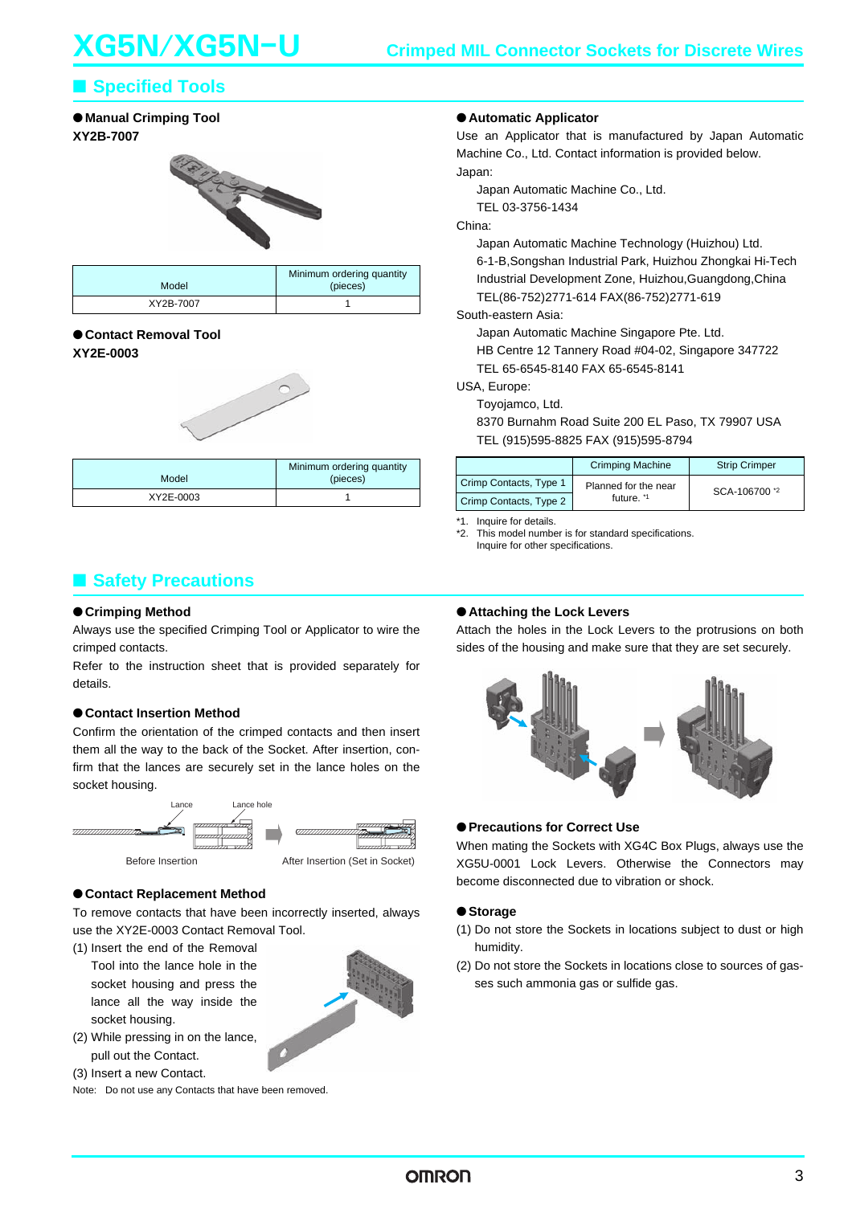### ■ **Specified Tools**

#### ● **Manual Crimping Tool XY2B-7007**



| Model     | Minimum ordering quantity<br>(pieces) |
|-----------|---------------------------------------|
| XY2B-7007 |                                       |

### ●**Contact Removal Tool**

### **XY2E-0003**



| Model     | Minimum ordering quantity<br>(pieces) |
|-----------|---------------------------------------|
| XY2E-0003 |                                       |

### ■ **Safety Precautions**

#### ●**Crimping Method**

Always use the specified Crimping Tool or Applicator to wire the crimped contacts.

Refer to the instruction sheet that is provided separately for details.

### ●**Contact Insertion Method**

Confirm the orientation of the crimped contacts and then insert them all the way to the back of the Socket. After insertion, confirm that the lances are securely set in the lance holes on the socket housing.



#### ●**Contact Replacement Method**

To remove contacts that have been incorrectly inserted, always use the XY2E-0003 Contact Removal Tool.

(1) Insert the end of the Removal Tool into the lance hole in the socket housing and press the lance all the way inside the socket housing.



- (2) While pressing in on the lance, pull out the Contact.
- (3) Insert a new Contact.

Note: Do not use any Contacts that have been removed.

### ●**Automatic Applicator**

Use an Applicator that is manufactured by Japan Automatic Machine Co., Ltd. Contact information is provided below. Japan:

Japan Automatic Machine Co., Ltd.

TEL 03-3756-1434

#### China:

Japan Automatic Machine Technology (Huizhou) Ltd. 6-1-B,Songshan Industrial Park, Huizhou Zhongkai Hi-Tech Industrial Development Zone, Huizhou,Guangdong,China TEL(86-752)2771-614 FAX(86-752)2771-619

#### South-eastern Asia:

Japan Automatic Machine Singapore Pte. Ltd. HB Centre 12 Tannery Road #04-02, Singapore 347722 TEL 65-6545-8140 FAX 65-6545-8141

#### USA, Europe:

Toyojamco, Ltd.

8370 Burnahm Road Suite 200 EL Paso, TX 79907 USA TEL (915)595-8825 FAX (915)595-8794

|                        | <b>Crimping Machine</b> | <b>Strip Crimper</b> |  |
|------------------------|-------------------------|----------------------|--|
| Crimp Contacts, Type 1 | Planned for the near    | SCA-106700 *2        |  |
| Crimp Contacts, Type 2 | future. <sup>*1</sup>   |                      |  |

\*1. Inquire for details.

\*2. This model number is for standard specifications. Inquire for other specifications.

#### ●**Attaching the Lock Levers**

Attach the holes in the Lock Levers to the protrusions on both sides of the housing and make sure that they are set securely.



#### ●**Precautions for Correct Use**

When mating the Sockets with XG4C Box Plugs, always use the XG5U-0001 Lock Levers. Otherwise the Connectors may become disconnected due to vibration or shock.

#### ●**Storage**

- (1) Do not store the Sockets in locations subject to dust or high humidity.
- (2) Do not store the Sockets in locations close to sources of gasses such ammonia gas or sulfide gas.